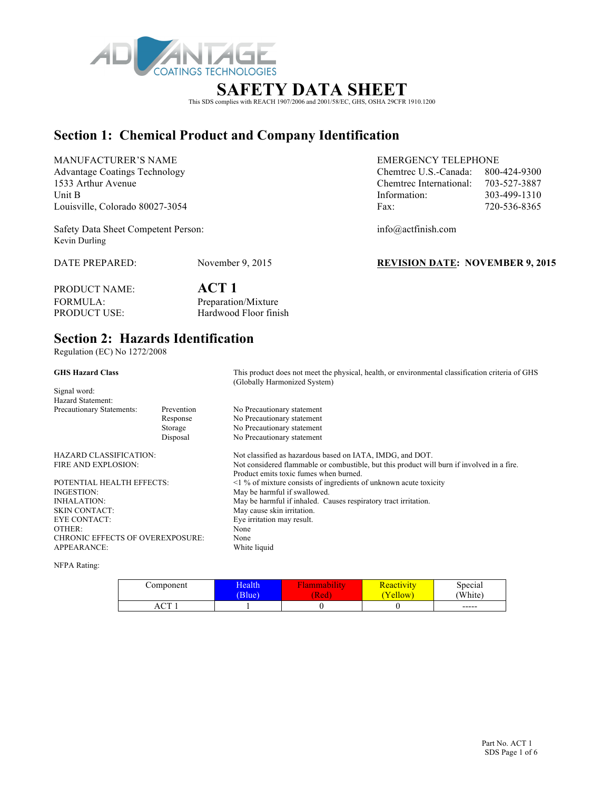

# This SDS complies with REACH 1907/2006 and 2001/58/EC, GHS, OSHA 29CFR 1910.1200

### **Section 1: Chemical Product and Company Identification**

MANUFACTURER'S NAME<br>Advantage Costings Technology entry and the Chanter of LS Costols and 224 0200 Advantage Coatings Technology Chemtrec U.S.-Canada: 800-424-9300-424-9300-424-9300-424-9300-424-9300-424-9300-424-9300-424-9300-424-9300-424-9300-424-9300-424-9300-424-9300-424-9300-424-9300-424-9300-424-9300-424-9300-424-1533 Arthur Avenue Chemtrec International: 703-527-3887 Louisville, Colorado 80027-3054 Fa

Safety Data Sheet Competent Person: info@actfinish.com Kevin Durling

DATE PREPARED: November 9, 2015 **REVISION DATE: NOVEMBER 9, 2015**

#### PRODUCT NAME: **ACT 1**<br>FORMULA: **Preparatio** FORMULA: Preparation/Mixture<br>PRODUCT USE: Hardwood Floor fini Hardwood Floor finish

### **Section 2: Hazards Identification**

Regulation (EC) No 1272/2008

| <b>GHS Hazard Class</b>                                                                                                                                                                                                                                         |                                                                                                                                                                                                                                                                                                                                                                                                                                                                                                                                        | This product does not meet the physical, health, or environmental classification criteria of GHS<br>(Globally Harmonized System) |
|-----------------------------------------------------------------------------------------------------------------------------------------------------------------------------------------------------------------------------------------------------------------|----------------------------------------------------------------------------------------------------------------------------------------------------------------------------------------------------------------------------------------------------------------------------------------------------------------------------------------------------------------------------------------------------------------------------------------------------------------------------------------------------------------------------------------|----------------------------------------------------------------------------------------------------------------------------------|
|                                                                                                                                                                                                                                                                 | No Precautionary statement<br>Prevention<br>No Precautionary statement<br>Response<br>No Precautionary statement<br>Storage<br>No Precautionary statement<br>Disposal<br>Not classified as hazardous based on IATA, IMDG, and DOT.<br>Product emits toxic fumes when burned.<br>$\leq$ 1 % of mixture consists of ingredients of unknown acute toxicity<br>May be harmful if swallowed.<br>May be harmful if inhaled. Causes respiratory tract irritation.<br>May cause skin irritation.<br>Eye irritation may result.<br>None<br>None |                                                                                                                                  |
|                                                                                                                                                                                                                                                                 |                                                                                                                                                                                                                                                                                                                                                                                                                                                                                                                                        |                                                                                                                                  |
|                                                                                                                                                                                                                                                                 |                                                                                                                                                                                                                                                                                                                                                                                                                                                                                                                                        |                                                                                                                                  |
|                                                                                                                                                                                                                                                                 |                                                                                                                                                                                                                                                                                                                                                                                                                                                                                                                                        |                                                                                                                                  |
|                                                                                                                                                                                                                                                                 |                                                                                                                                                                                                                                                                                                                                                                                                                                                                                                                                        |                                                                                                                                  |
|                                                                                                                                                                                                                                                                 |                                                                                                                                                                                                                                                                                                                                                                                                                                                                                                                                        |                                                                                                                                  |
|                                                                                                                                                                                                                                                                 |                                                                                                                                                                                                                                                                                                                                                                                                                                                                                                                                        |                                                                                                                                  |
|                                                                                                                                                                                                                                                                 |                                                                                                                                                                                                                                                                                                                                                                                                                                                                                                                                        | Not considered flammable or combustible, but this product will burn if involved in a fire.                                       |
|                                                                                                                                                                                                                                                                 |                                                                                                                                                                                                                                                                                                                                                                                                                                                                                                                                        |                                                                                                                                  |
| Signal word:<br>Hazard Statement:<br>Precautionary Statements:<br>HAZARD CLASSIFICATION:<br>FIRE AND EXPLOSION:<br>POTENTIAL HEALTH EFFECTS:<br>INGESTION:<br><b>INHALATION:</b><br>SKIN CONTACT:<br>EYE CONTACT:<br>OTHER:<br>CHRONIC EFFECTS OF OVEREXPOSURE: |                                                                                                                                                                                                                                                                                                                                                                                                                                                                                                                                        |                                                                                                                                  |
|                                                                                                                                                                                                                                                                 |                                                                                                                                                                                                                                                                                                                                                                                                                                                                                                                                        |                                                                                                                                  |
|                                                                                                                                                                                                                                                                 |                                                                                                                                                                                                                                                                                                                                                                                                                                                                                                                                        |                                                                                                                                  |
|                                                                                                                                                                                                                                                                 |                                                                                                                                                                                                                                                                                                                                                                                                                                                                                                                                        |                                                                                                                                  |
|                                                                                                                                                                                                                                                                 |                                                                                                                                                                                                                                                                                                                                                                                                                                                                                                                                        |                                                                                                                                  |
|                                                                                                                                                                                                                                                                 |                                                                                                                                                                                                                                                                                                                                                                                                                                                                                                                                        |                                                                                                                                  |
|                                                                                                                                                                                                                                                                 |                                                                                                                                                                                                                                                                                                                                                                                                                                                                                                                                        |                                                                                                                                  |
| APPEARANCE:                                                                                                                                                                                                                                                     |                                                                                                                                                                                                                                                                                                                                                                                                                                                                                                                                        | White liquid                                                                                                                     |

NFPA Rating:

| Component        | <b>Health</b><br>Blue) | <b>The Company of the Company</b><br>шаошт<br>Red <sub>1</sub> | <b>Reactivity</b><br>'ellow | Special<br>'White) |
|------------------|------------------------|----------------------------------------------------------------|-----------------------------|--------------------|
| $\sqrt{ }$<br>АU |                        |                                                                |                             | $-----$            |

| Advantage Coatings Technology   | Chemirec $U.S.$ -Canada: $800-424-9300$ |              |
|---------------------------------|-----------------------------------------|--------------|
| 1533 Arthur Avenue              | Chemtrec International:                 | 703-527-3887 |
| Unit B                          | Information:                            | 303-499-1310 |
| Louisville. Colorado 80027-3054 | Fax:                                    | 720-536-8365 |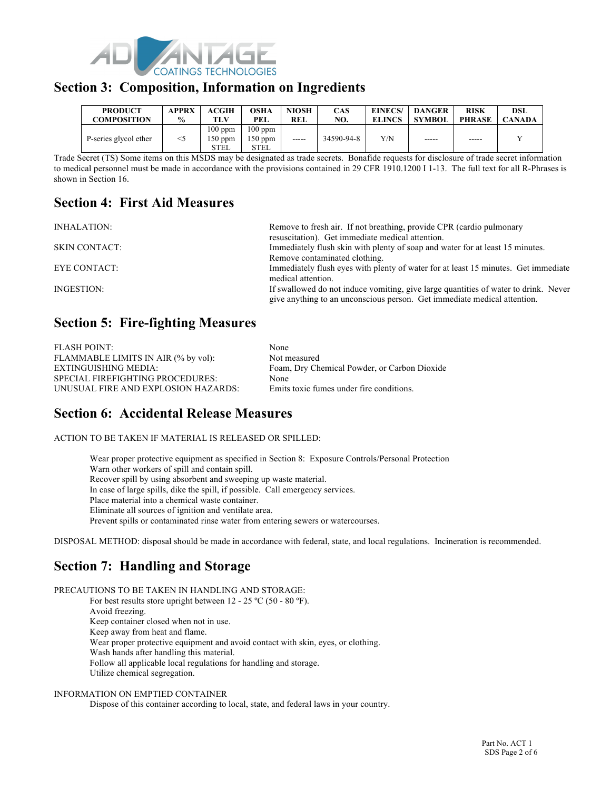

#### **Section 3: Composition, Information on Ingredients**

| <b>PRODUCT</b>        | <b>APPRX</b>  | <b>ACGIH</b>                 | OSHA                           | <b>NIOSH</b> | <b>CAS</b> | EINECS/       | <b>DANGER</b> | <b>RISK</b>   | DSL           |
|-----------------------|---------------|------------------------------|--------------------------------|--------------|------------|---------------|---------------|---------------|---------------|
| <b>COMPOSITION</b>    | $\frac{6}{9}$ | TLV                          | PEL                            | <b>REL</b>   | NO.        | <b>ELINCS</b> | <b>SYMBOL</b> | <b>PHRASE</b> | <b>CANADA</b> |
| P-series glycol ether | $<$ 5         | $100$ ppm<br>150 ppm<br>STEL | $100$ ppm<br>$150$ ppm<br>STEL | -----        | 34590-94-8 | Y/N           | -----         | -----         |               |

Trade Secret (TS) Some items on this MSDS may be designated as trade secrets. Bonafide requests for disclosure of trade secret information to medical personnel must be made in accordance with the provisions contained in 29 CFR 1910.1200 I 1-13. The full text for all R-Phrases is shown in Section 16.

### **Section 4: First Aid Measures**

INHALATION: Remove to fresh air. If not breathing, provide CPR (cardio pulmonary

resuscitation). Get immediate medical attention. SKIN CONTACT: Immediately flush skin with plenty of soap and water for at least 15 minutes. Remove contaminated clothing. EYE CONTACT: Immediately flush eyes with plenty of water for at least 15 minutes. Get immediate medical attention. INGESTION: If swallowed do not induce vomiting, give large quantities of water to drink. Never give anything to an unconscious person. Get immediate medical attention.

### **Section 5: Fire-fighting Measures**

| <b>FLASH POINT:</b>                     | None                                         |
|-----------------------------------------|----------------------------------------------|
| FLAMMABLE LIMITS IN AIR (% by vol):     | Not measured                                 |
| EXTINGUISHING MEDIA:                    | Foam, Dry Chemical Powder, or Carbon Dioxide |
| <b>SPECIAL FIREFIGHTING PROCEDURES:</b> | None                                         |
| UNUSUAL FIRE AND EXPLOSION HAZARDS:     | Emits toxic fumes under fire conditions.     |

### **Section 6: Accidental Release Measures**

ACTION TO BE TAKEN IF MATERIAL IS RELEASED OR SPILLED:

Wear proper protective equipment as specified in Section 8: Exposure Controls/Personal Protection Warn other workers of spill and contain spill. Recover spill by using absorbent and sweeping up waste material. In case of large spills, dike the spill, if possible. Call emergency services. Place material into a chemical waste container. Eliminate all sources of ignition and ventilate area. Prevent spills or contaminated rinse water from entering sewers or watercourses.

DISPOSAL METHOD: disposal should be made in accordance with federal, state, and local regulations. Incineration is recommended.

### **Section 7: Handling and Storage**

PRECAUTIONS TO BE TAKEN IN HANDLING AND STORAGE: For best results store upright between 12 - 25 °C (50 - 80 °F). Avoid freezing. Keep container closed when not in use. Keep away from heat and flame. Wear proper protective equipment and avoid contact with skin, eyes, or clothing. Wash hands after handling this material. Follow all applicable local regulations for handling and storage. Utilize chemical segregation.

#### INFORMATION ON EMPTIED CONTAINER

Dispose of this container according to local, state, and federal laws in your country.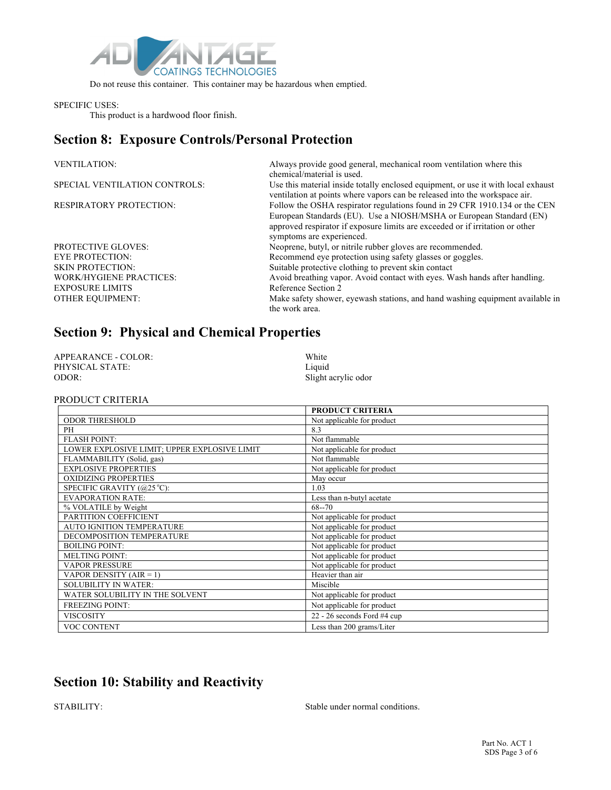

Do not reuse this container. This container may be hazardous when emptied.

#### SPECIFIC USES:

This product is a hardwood floor finish.

### **Section 8: Exposure Controls/Personal Protection**

| <b>VENTILATION:</b>            | Always provide good general, mechanical room ventilation where this<br>chemical/material is used.                                                                                                                                                               |
|--------------------------------|-----------------------------------------------------------------------------------------------------------------------------------------------------------------------------------------------------------------------------------------------------------------|
| SPECIAL VENTILATION CONTROLS:  | Use this material inside totally enclosed equipment, or use it with local exhaust<br>ventilation at points where vapors can be released into the workspace air.                                                                                                 |
| <b>RESPIRATORY PROTECTION:</b> | Follow the OSHA respirator regulations found in 29 CFR 1910.134 or the CEN<br>European Standards (EU). Use a NIOSH/MSHA or European Standard (EN)<br>approved respirator if exposure limits are exceeded or if irritation or other<br>symptoms are experienced. |
| <b>PROTECTIVE GLOVES:</b>      | Neoprene, butyl, or nitrile rubber gloves are recommended.                                                                                                                                                                                                      |
| <b>EYE PROTECTION:</b>         | Recommend eye protection using safety glasses or goggles.                                                                                                                                                                                                       |
| <b>SKIN PROTECTION:</b>        | Suitable protective clothing to prevent skin contact                                                                                                                                                                                                            |
| <b>WORK/HYGIENE PRACTICES:</b> | Avoid breathing vapor. Avoid contact with eyes. Wash hands after handling.                                                                                                                                                                                      |
| <b>EXPOSURE LIMITS</b>         | Reference Section 2                                                                                                                                                                                                                                             |
| <b>OTHER EQUIPMENT:</b>        | Make safety shower, eyewash stations, and hand washing equipment available in<br>the work area.                                                                                                                                                                 |

## **Section 9: Physical and Chemical Properties**

| APPEARANCE - COLOR: | White               |
|---------------------|---------------------|
| PHYSICAL STATE:     | Liquid              |
| ODOR:               | Slight acrylic odor |

#### PRODUCT CRITERIA

|                                              | <b>PRODUCT CRITERIA</b>     |
|----------------------------------------------|-----------------------------|
| <b>ODOR THRESHOLD</b>                        | Not applicable for product  |
| PH                                           | 8.3                         |
| <b>FLASH POINT:</b>                          | Not flammable               |
| LOWER EXPLOSIVE LIMIT; UPPER EXPLOSIVE LIMIT | Not applicable for product  |
| FLAMMABILITY (Solid, gas)                    | Not flammable               |
| <b>EXPLOSIVE PROPERTIES</b>                  | Not applicable for product  |
| <b>OXIDIZING PROPERTIES</b>                  | May occur                   |
| SPECIFIC GRAVITY (@25 °C):                   | 1.03                        |
| <b>EVAPORATION RATE:</b>                     | Less than n-butyl acetate   |
| % VOLATILE by Weight                         | $68 - 70$                   |
| PARTITION COEFFICIENT                        | Not applicable for product  |
| AUTO IGNITION TEMPERATURE                    | Not applicable for product  |
| DECOMPOSITION TEMPERATURE                    | Not applicable for product  |
| <b>BOILING POINT:</b>                        | Not applicable for product  |
| <b>MELTING POINT:</b>                        | Not applicable for product  |
| <b>VAPOR PRESSURE</b>                        | Not applicable for product  |
| VAPOR DENSITY (AIR = 1)                      | Heavier than air            |
| <b>SOLUBILITY IN WATER:</b>                  | Miscible                    |
| WATER SOLUBILITY IN THE SOLVENT              | Not applicable for product  |
| <b>FREEZING POINT:</b>                       | Not applicable for product  |
| <b>VISCOSITY</b>                             | 22 - 26 seconds Ford #4 cup |
| VOC CONTENT                                  | Less than 200 grams/Liter   |

### **Section 10: Stability and Reactivity**

STABILITY: Stable under normal conditions.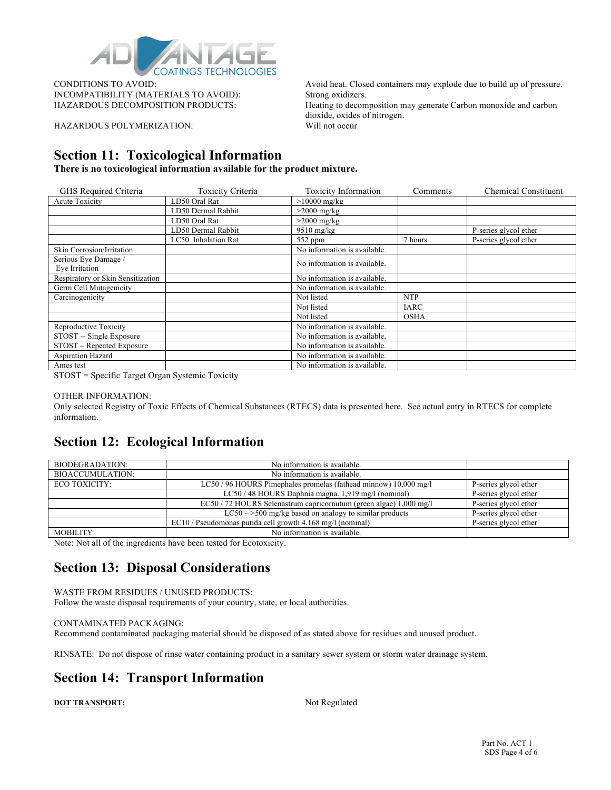

INCOMPATIBILITY (MATERIALS TO AVOID): Strong oxidizers.

HAZARDOUS POLYMERIZATION: Will not occur

CONDITIONS TO AVOID: Avoid heat. Closed containers may explode due to build up of pressure. HAZARDOUS DECOMPOSITION PRODUCTS: Heating to decomposition may generate Carbon monoxide and carbon dioxide, oxides of nitrogen.

### **Section 11: Toxicological Information**

**There is no toxicological information available for the product mixture.**

| GHS Required Criteria             | <b>Toxicity Criteria</b> | <b>Toxicity Information</b>  | Comments    | <b>Chemical Constituent</b> |
|-----------------------------------|--------------------------|------------------------------|-------------|-----------------------------|
| <b>Acute Toxicity</b>             | LD50 Oral Rat            | $>10000$ mg/kg               |             |                             |
|                                   | LD50 Dermal Rabbit       | $>2000$ mg/kg                |             |                             |
|                                   | LD50 Oral Rat            | $>2000$ mg/kg                |             |                             |
|                                   | LD50 Dermal Rabbit       | $9510$ mg/kg                 |             | P-series glycol ether       |
|                                   | LC50 Inhalation Rat      | $552$ ppm                    | 7 hours     | P-series glycol ether       |
| Skin Corrosion/Irritation         |                          | No information is available. |             |                             |
| Serious Eye Damage /              |                          | No information is available. |             |                             |
| Eye Irritation                    |                          |                              |             |                             |
| Respiratory or Skin Sensitization |                          | No information is available. |             |                             |
| Germ Cell Mutagenicity            |                          | No information is available. |             |                             |
| Carcinogenicity                   |                          | Not listed                   | <b>NTP</b>  |                             |
|                                   |                          | Not listed                   | IARC        |                             |
|                                   |                          | Not listed                   | <b>OSHA</b> |                             |
| Reproductive Toxicity             |                          | No information is available. |             |                             |
| STOST -- Single Exposure          |                          | No information is available. |             |                             |
| STOST - Repeated Exposure         |                          | No information is available. |             |                             |
| Aspiration Hazard                 |                          | No information is available. |             |                             |
| Ames test                         |                          | No information is available. |             |                             |

STOST = Specific Target Organ Systemic Toxicity

#### OTHER INFORMATION:

Only selected Registry of Toxic Effects of Chemical Substances (RTECS) data is presented here. See actual entry in RTECS for complete information.

#### **Section 12: Ecological Information**

| BIODEGRADATION:         | No information is available.                                       |                       |
|-------------------------|--------------------------------------------------------------------|-----------------------|
| <b>BIOACCUMULATION:</b> | No information is available.                                       |                       |
| ECO TOXICITY:           | LC50/96 HOURS Pimephales promelas (fathead minnow) 10,000 mg/l     | P-series glycol ether |
|                         | LC50 / 48 HOURS Daphnia magna. 1,919 mg/l (nominal)                | P-series glycol ether |
|                         | EC50 / 72 HOURS Selenastrum capricornutum (green algae) 1,000 mg/l | P-series glycol ether |
|                         | $LC50 - >500$ mg/kg based on analogy to similar products           | P-series glycol ether |
|                         | EC10 / Pseudomonas putida cell growth 4,168 mg/l (nominal)         | P-series glycol ether |
| MOBILITY:               | No information is available.                                       |                       |

Note: Not all of the ingredients have been tested for Ecotoxicity.

### **Section 13: Disposal Considerations**

WASTE FROM RESIDUES / UNUSED PRODUCTS: Follow the waste disposal requirements of your country, state, or local authorities.

#### CONTAMINATED PACKAGING:

Recommend contaminated packaging material should be disposed of as stated above for residues and unused product.

RINSATE: Do not dispose of rinse water containing product in a sanitary sewer system or storm water drainage system.

### **Section 14: Transport Information**

**DOT TRANSPORT:** Not Regulated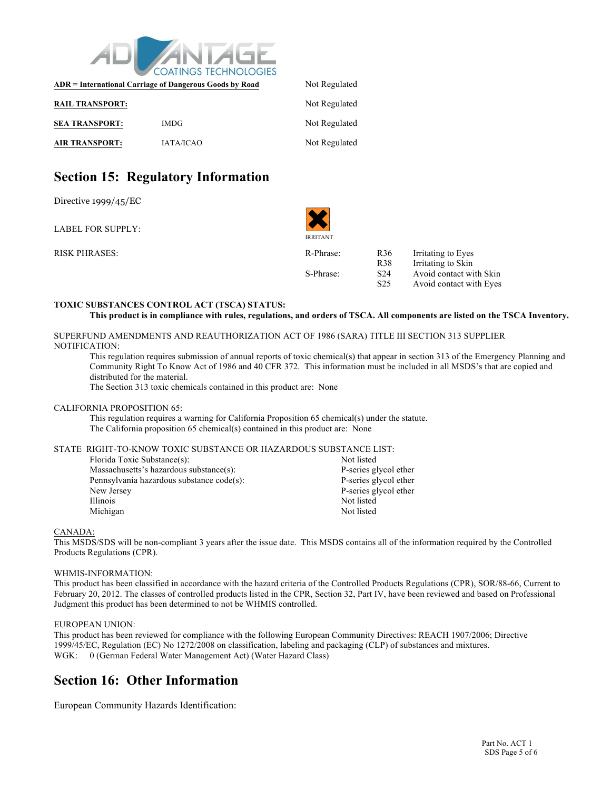

|                        | ADR = International Carriage of Dangerous Goods by Road | Not Regulated |
|------------------------|---------------------------------------------------------|---------------|
| <b>RAIL TRANSPORT:</b> |                                                         | Not Regulated |
| <b>SEA TRANSPORT:</b>  | <b>IMDG</b>                                             | Not Regulated |
| <b>AIR TRANSPORT:</b>  | <b>IATA/ICAO</b>                                        | Not Regulated |

### **Section 15: Regulatory Information**

Directive 1999/45/EC

LABEL FOR SUPPLY:

RISK PHRASES: R36 IR-Phr

IRRITANT

| R-Phrase: | R <sub>36</sub> | Irritating to Eyes      |
|-----------|-----------------|-------------------------|
|           | R <sub>38</sub> | Irritating to Skin      |
| S-Phrase: | S <sub>24</sub> | Avoid contact with Skin |
|           | S <sub>25</sub> | Avoid contact with Eyes |

#### **TOXIC SUBSTANCES CONTROL ACT (TSCA) STATUS:**

```
This product is in compliance with rules, regulations, and orders of TSCA. All components are listed on the TSCA Inventory.
```
SUPERFUND AMENDMENTS AND REAUTHORIZATION ACT OF 1986 (SARA) TITLE III SECTION 313 SUPPLIER NOTIFICATION:

This regulation requires submission of annual reports of toxic chemical(s) that appear in section 313 of the Emergency Planning and Community Right To Know Act of 1986 and 40 CFR 372. This information must be included in all MSDS's that are copied and distributed for the material.

The Section 313 toxic chemicals contained in this product are: None

#### CALIFORNIA PROPOSITION 65:

This regulation requires a warning for California Proposition 65 chemical(s) under the statute. The California proposition 65 chemical(s) contained in this product are: None

#### STATE RIGHT-TO-KNOW TOXIC SUBSTANCE OR HAZARDOUS SUBSTANCE LIST:

| Florida Toxic Substance(s):               | Not listed            |
|-------------------------------------------|-----------------------|
| Massachusetts's hazardous substance(s):   | P-series glycol ether |
| Pennsylvania hazardous substance code(s): | P-series glycol ether |
| New Jersey                                | P-series glycol ether |
| <b>Illinois</b>                           | Not listed            |
| Michigan                                  | Not listed            |

#### CANADA:

This MSDS/SDS will be non-compliant 3 years after the issue date. This MSDS contains all of the information required by the Controlled Products Regulations (CPR).

#### WHMIS-INFORMATION:

This product has been classified in accordance with the hazard criteria of the Controlled Products Regulations (CPR), SOR/88-66, Current to February 20, 2012. The classes of controlled products listed in the CPR, Section 32, Part IV, have been reviewed and based on Professional Judgment this product has been determined to not be WHMIS controlled.

#### EUROPEAN UNION:

This product has been reviewed for compliance with the following European Community Directives: REACH 1907/2006; Directive 1999/45/EC, Regulation (EC) No 1272/2008 on classification, labeling and packaging (CLP) of substances and mixtures. WGK: 0 (German Federal Water Management Act) (Water Hazard Class)

#### **Section 16: Other Information**

European Community Hazards Identification: